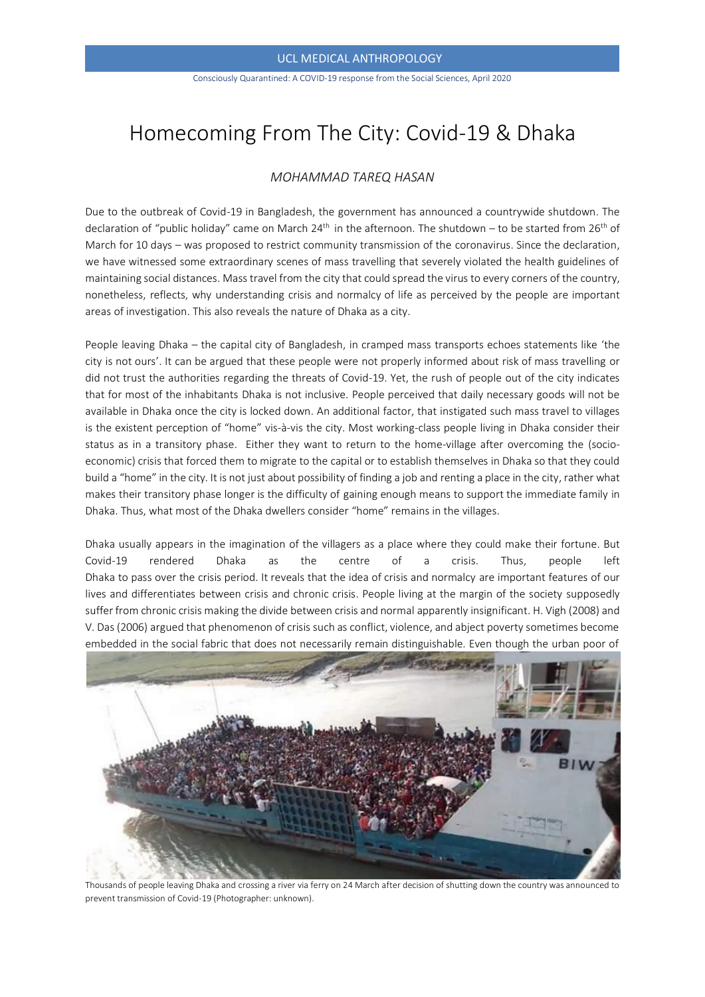Consciously Quarantined: A COVID-19 response from the Social Sciences, April 2020

# Homecoming From The City: Covid-19 & Dhaka

## *MOHAMMAD TAREQ HASAN*

Due to the outbreak of Covid-19 in Bangladesh, the government has announced a countrywide shutdown. The declaration of "public holiday" came on March 24<sup>th</sup> in the afternoon. The shutdown – to be started from 26<sup>th</sup> of March for 10 days – was proposed to restrict community transmission of the coronavirus. Since the declaration, we have witnessed some extraordinary scenes of mass travelling that severely violated the health guidelines of maintaining social distances. Mass travel from the city that could spread the virus to every corners of the country, nonetheless, reflects, why understanding crisis and normalcy of life as perceived by the people are important areas of investigation. This also reveals the nature of Dhaka as a city.

People leaving Dhaka – the capital city of Bangladesh, in cramped mass transports echoes statements like 'the city is not ours'. It can be argued that these people were not properly informed about risk of mass travelling or did not trust the authorities regarding the threats of Covid-19. Yet, the rush of people out of the city indicates that for most of the inhabitants Dhaka is not inclusive. People perceived that daily necessary goods will not be available in Dhaka once the city is locked down. An additional factor, that instigated such mass travel to villages is the existent perception of "home" vis-à-vis the city. Most working-class people living in Dhaka consider their status as in a transitory phase. Either they want to return to the home-village after overcoming the (socioeconomic) crisis that forced them to migrate to the capital or to establish themselves in Dhaka so that they could build a "home" in the city. It is not just about possibility of finding a job and renting a place in the city, rather what makes their transitory phase longer is the difficulty of gaining enough means to support the immediate family in Dhaka. Thus, what most of the Dhaka dwellers consider "home" remains in the villages.

Dhaka usually appears in the imagination of the villagers as a place where they could make their fortune. But Covid-19 rendered Dhaka as the centre of a crisis. Thus, people left Dhaka to pass over the crisis period. It reveals that the idea of crisis and normalcy are important features of our lives and differentiates between crisis and chronic crisis. People living at the margin of the society supposedly suffer from chronic crisis making the divide between crisis and normal apparently insignificant. H. Vigh (2008) and V. Das (2006) argued that phenomenon of crisis such as conflict, violence, and abject poverty sometimes become embedded in the social fabric that does not necessarily remain distinguishable. Even though the urban poor of



Thousands of people leaving Dhaka and crossing a river via ferry on 24 March after decision of shutting down the country was announced to prevent transmission of Covid-19 (Photographer: unknown).